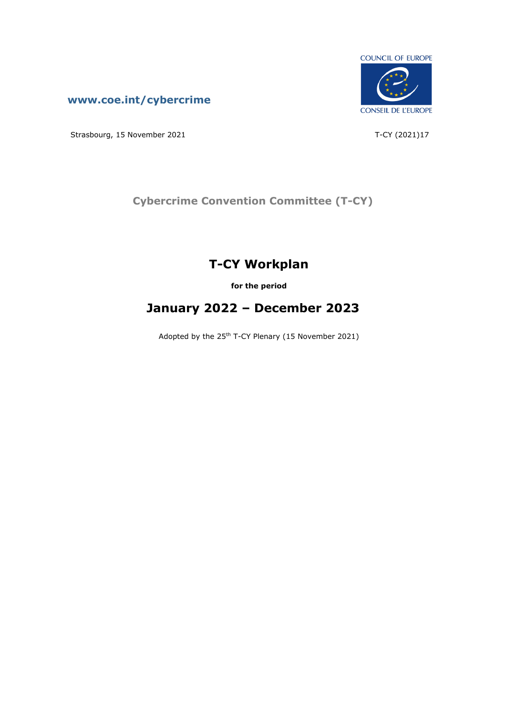



Strasbourg, 15 November 2021 T-CY (2021)17

**Cybercrime Convention Committee (T-CY)**

# **T-CY Workplan**

**for the period**

# **January 2022 – December 2023**

Adopted by the 25th T-CY Plenary (15 November 2021)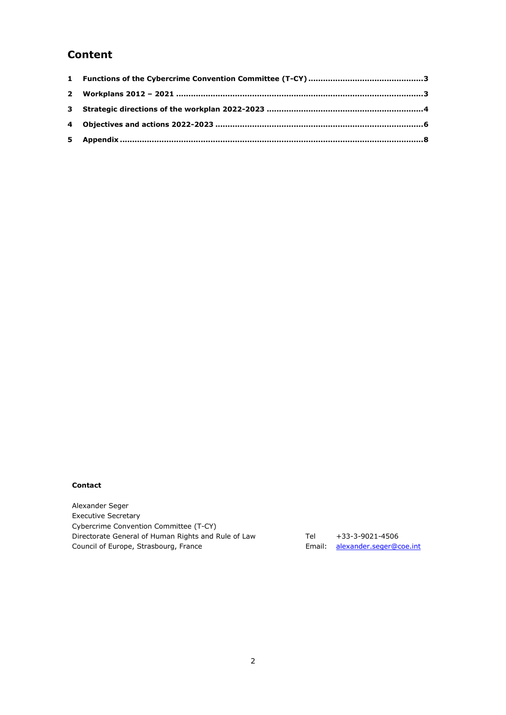## **Content**

#### **Contact**

Alexander Seger Executive Secretary Cybercrime Convention Committee (T-CY) Directorate General of Human Rights and Rule of Law Council of Europe, Strasbourg, France

Tel +33-3-9021-4506 Email: [alexander.seger@coe.int](mailto:alexander.seger@coe.int)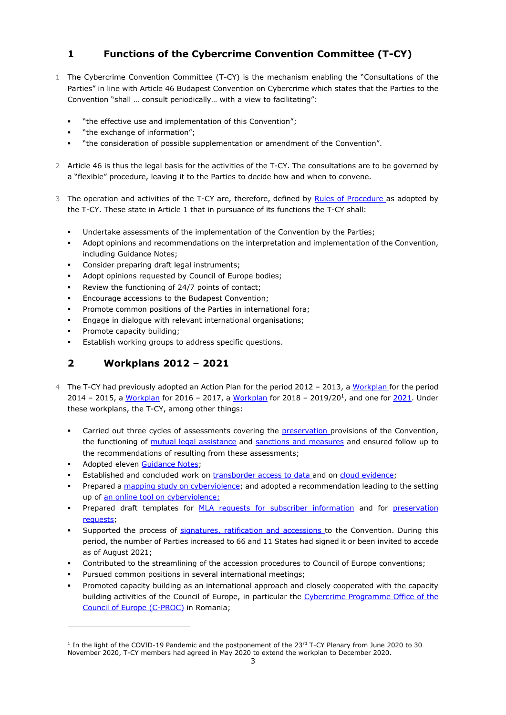### <span id="page-2-0"></span>**1 Functions of the Cybercrime Convention Committee (T-CY)**

- 1 The Cybercrime Convention Committee (T-CY) is the mechanism enabling the "Consultations of the Parties" in line with Article 46 Budapest Convention on Cybercrime which states that the Parties to the Convention "shall … consult periodically… with a view to facilitating":
	- "the effective use and implementation of this Convention";
	- "the exchange of information";
	- "the consideration of possible supplementation or amendment of the Convention".
- 2 Article 46 is thus the legal basis for the activities of the T-CY. The consultations are to be governed by a "flexible" procedure, leaving it to the Parties to decide how and when to convene.
- 3 The operation and activities of the T-CY are, therefore, defined by [Rules of Procedure](https://rm.coe.int/t-cy-rules-of-procedure/1680a00f34) as adopted by the T-CY. These state in Article 1 that in pursuance of its functions the T-CY shall:
	- Undertake assessments of the implementation of the Convention by the Parties;
	- Adopt opinions and recommendations on the interpretation and implementation of the Convention, including Guidance Notes;
	- Consider preparing draft legal instruments;
	- Adopt opinions requested by Council of Europe bodies;
	- Review the functioning of 24/7 points of contact;
	- Encourage accessions to the Budapest Convention;
	- Promote common positions of the Parties in international fora;
	- Engage in dialogue with relevant international organisations;
	- Promote capacity building;
	- Establish working groups to address specific questions.

### <span id="page-2-1"></span>**2 Workplans 2012 – 2021**

- 4 The T-CY had previously adopted an Action Plan for the period 2012 2013, a [Workplan](http://www.coe.int/t/dghl/cooperation/economiccrime/Source/Cybercrime/TCY/TCY%202013/T-CY(2013)24%20workplan%202014-15_v7adopted.pdf) for the period 2014 – 2015, a <u>Workplan</u> for 2016 – 2017, a <u>Workplan</u> for 2018 – 2019/20<sup>1</sup>, and one for <u>2021</u>. Under these workplans, the T-CY, among other things:
	- Carried out three cycles of assessments covering the **preservation** provisions of the Convention, the functioning of [mutual legal assistance](http://www.coe.int/t/dghl/cooperation/economiccrime/Source/Cybercrime/TCY/2014/T-CY(2013)17_Assess_report_v50adopted.pdf) and [sanctions and measures](https://www.coe.int/en/web/cybercrime/assessments) and ensured follow up to the recommendations of resulting from these assessments;
	- Adopted eleven [Guidance Notes;](http://www.coe.int/t/dghl/cooperation/economiccrime/Source/Cybercrime/TCY/Guidance_Notes/TCY(2013)29rev_GN%20compilation_v3.pdf)
	- Established and concluded work on [transborder access to data](http://www.coe.int/t/dghl/cooperation/economiccrime/Source/Cybercrime/TCY/2014/T-CY(2014)16_TBGroupReport_v17adopted.pdf) and on [cloud evidence;](https://www.coe.int/en/web/cybercrime/ceg)
	- Prepared [a mapping study on cyberviolence;](https://rm.coe.int/t-cy-2017-10-cbg-study-provisional/16808c4914) and adopted a recommendation leading to the setting up of [an online tool on cyberviolence;](https://www.coe.int/en/web/cybercrime/cyberviolence)
	- Prepared draft templates for [MLA requests for subscriber information](https://rm.coe.int/t-cy-2017-10-cbg-study-provisional/16808c4914) and for preservation [requests;](https://rm.coe.int/t-cy-2018-11-template-article29-request-v26-final/16808c4956)
	- Supported the process of [signatures, ratification and](http://conventions.coe.int/Treaty/Commun/ChercheSig.asp?NT=185&CM=8&DF=&CL=ENG) [accessions](http://conventions.coe.int/Treaty/Commun/ChercheSig.asp?NT=185&CM=8&DF=&CL=ENG) to the Convention. During this period, the number of Parties increased to 66 and 11 States had signed it or been invited to accede as of August 2021;
	- Contributed to the streamlining of the accession procedures to Council of Europe conventions;
	- Pursued common positions in several international meetings;
	- Promoted capacity building as an international approach and closely cooperated with the capacity building activities of the Council of Europe, in particular the Cybercrime Programme Office of the [Council of Europe \(C-PROC\)](https://www.coe.int/en/web/cybercrime/cybercrime-office-c-proc-) in Romania;

<sup>&</sup>lt;sup>1</sup> In the light of the COVID-19 Pandemic and the postponement of the 23<sup>rd</sup> T-CY Plenary from June 2020 to 30 November 2020, T-CY members had agreed in May 2020 to extend the workplan to December 2020.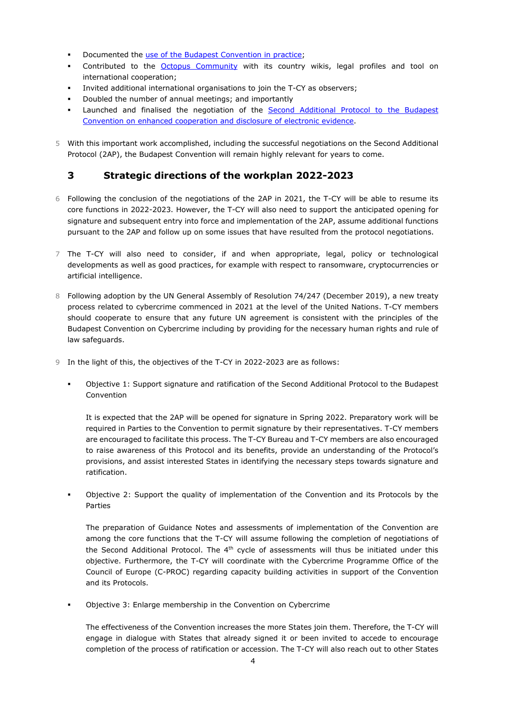- Documented the [use of the Budapest Convention in practice;](https://rm.coe.int/t-cy-2020-16-bc-benefits-rep-provisional/16809ef6ac)
- Contributed to the [Octopus Community](https://www.coe.int/en/web/octopus/home) with its country wikis, legal profiles and tool on international cooperation;
- Invited additional international organisations to join the T-CY as observers;
- Doubled the number of annual meetings; and importantly
- Launched and finalised the negotiation of the Second Additional Protocol to the Budapest [Convention on enhanced cooperation and disclosure of electronic evidence.](https://www.coe.int/en/web/cybercrime/t-cy-drafting-group)
- 5 With this important work accomplished, including the successful negotiations on the Second Additional Protocol (2AP), the Budapest Convention will remain highly relevant for years to come.

#### <span id="page-3-0"></span>**3 Strategic directions of the workplan 2022-2023**

- 6 Following the conclusion of the negotiations of the 2AP in 2021, the T-CY will be able to resume its core functions in 2022-2023. However, the T-CY will also need to support the anticipated opening for signature and subsequent entry into force and implementation of the 2AP, assume additional functions pursuant to the 2AP and follow up on some issues that have resulted from the protocol negotiations.
- 7 The T-CY will also need to consider, if and when appropriate, legal, policy or technological developments as well as good practices, for example with respect to ransomware, cryptocurrencies or artificial intelligence.
- 8 Following adoption by the UN General Assembly of Resolution 74/247 (December 2019), a new treaty process related to cybercrime commenced in 2021 at the level of the United Nations. T-CY members should cooperate to ensure that any future UN agreement is consistent with the principles of the Budapest Convention on Cybercrime including by providing for the necessary human rights and rule of law safeguards.
- 9 In the light of this, the objectives of the T-CY in 2022-2023 are as follows:
	- Objective 1: Support signature and ratification of the Second Additional Protocol to the Budapest Convention

It is expected that the 2AP will be opened for signature in Spring 2022. Preparatory work will be required in Parties to the Convention to permit signature by their representatives. T-CY members are encouraged to facilitate this process. The T-CY Bureau and T-CY members are also encouraged to raise awareness of this Protocol and its benefits, provide an understanding of the Protocol's provisions, and assist interested States in identifying the necessary steps towards signature and ratification.

Objective 2: Support the quality of implementation of the Convention and its Protocols by the Parties

The preparation of Guidance Notes and assessments of implementation of the Convention are among the core functions that the T-CY will assume following the completion of negotiations of the Second Additional Protocol. The  $4<sup>th</sup>$  cycle of assessments will thus be initiated under this objective. Furthermore, the T-CY will coordinate with the Cybercrime Programme Office of the Council of Europe (C-PROC) regarding capacity building activities in support of the Convention and its Protocols.

Objective 3: Enlarge membership in the Convention on Cybercrime

The effectiveness of the Convention increases the more States join them. Therefore, the T-CY will engage in dialogue with States that already signed it or been invited to accede to encourage completion of the process of ratification or accession. The T-CY will also reach out to other States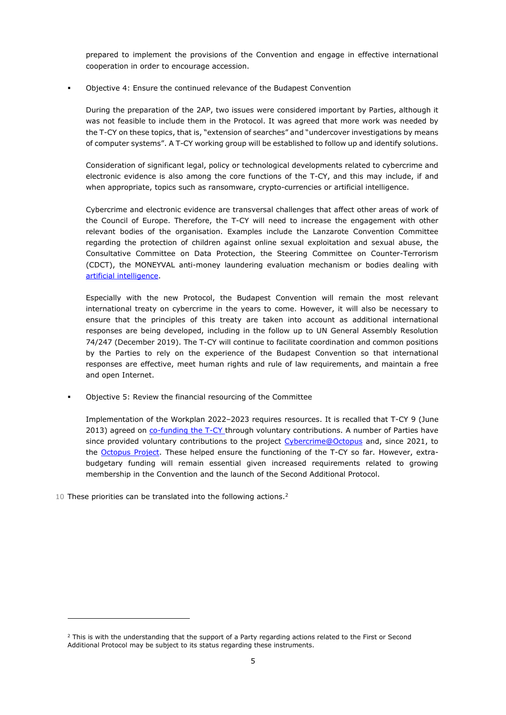prepared to implement the provisions of the Convention and engage in effective international cooperation in order to encourage accession.

Objective 4: Ensure the continued relevance of the Budapest Convention

During the preparation of the 2AP, two issues were considered important by Parties, although it was not feasible to include them in the Protocol. It was agreed that more work was needed by the T-CY on these topics, that is, "extension of searches" and "undercover investigations by means of computer systems". A T-CY working group will be established to follow up and identify solutions.

Consideration of significant legal, policy or technological developments related to cybercrime and electronic evidence is also among the core functions of the T-CY, and this may include, if and when appropriate, topics such as ransomware, crypto-currencies or artificial intelligence.

Cybercrime and electronic evidence are transversal challenges that affect other areas of work of the Council of Europe. Therefore, the T-CY will need to increase the engagement with other relevant bodies of the organisation. Examples include the Lanzarote Convention Committee regarding the protection of children against online sexual exploitation and sexual abuse, the Consultative Committee on Data Protection, the Steering Committee on Counter-Terrorism (CDCT), the MONEYVAL anti-money laundering evaluation mechanism or bodies dealing with [artificial intelligence.](https://www.coe.int/en/web/artificial-intelligence/home)

Especially with the new Protocol, the Budapest Convention will remain the most relevant international treaty on cybercrime in the years to come. However, it will also be necessary to ensure that the principles of this treaty are taken into account as additional international responses are being developed, including in the follow up to UN General Assembly Resolution 74/247 (December 2019). The T-CY will continue to facilitate coordination and common positions by the Parties to rely on the experience of the Budapest Convention so that international responses are effective, meet human rights and rule of law requirements, and maintain a free and open Internet.

Objective 5: Review the financial resourcing of the Committee

Implementation of the Workplan 2022–2023 requires resources. It is recalled that T-CY 9 (June 2013) agreed on [co-funding the T-CY](http://www.coe.int/t/dghl/cooperation/economiccrime/Source/Cybercrime/TCY/TCY%202013/T-CY(2013)19_tcy_funding_v6.pdf) through voluntary contributions. A number of Parties have since provided voluntary contributions to the project [Cybercrime@Octopus](http://www.coe.int/t/dghl/cooperation/economiccrime/cybercrime/Cybercrime@Octopus/3021_octo_summary_V11.pdf) and, since 2021, to the [Octopus Project.](https://www.coe.int/en/web/cybercrime/octopus-project) These helped ensure the functioning of the T-CY so far. However, extrabudgetary funding will remain essential given increased requirements related to growing membership in the Convention and the launch of the Second Additional Protocol.

10 These priorities can be translated into the following actions.<sup>2</sup>

<sup>&</sup>lt;sup>2</sup> This is with the understanding that the support of a Party regarding actions related to the First or Second Additional Protocol may be subject to its status regarding these instruments.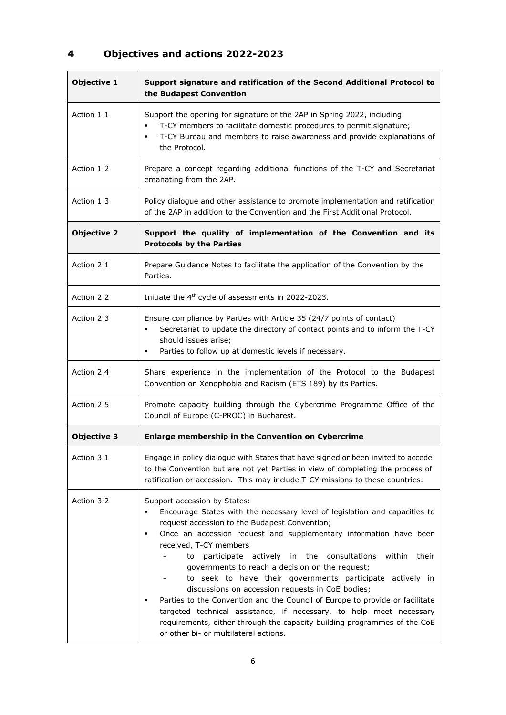## <span id="page-5-0"></span>**4 Objectives and actions 2022-2023**

| <b>Objective 1</b> | Support signature and ratification of the Second Additional Protocol to<br>the Budapest Convention                                                                                                                                                                                                                                                                                                                                                                                                                                                                                                                                                                                                                                                                                         |
|--------------------|--------------------------------------------------------------------------------------------------------------------------------------------------------------------------------------------------------------------------------------------------------------------------------------------------------------------------------------------------------------------------------------------------------------------------------------------------------------------------------------------------------------------------------------------------------------------------------------------------------------------------------------------------------------------------------------------------------------------------------------------------------------------------------------------|
| Action 1.1         | Support the opening for signature of the 2AP in Spring 2022, including<br>T-CY members to facilitate domestic procedures to permit signature;<br>٠<br>T-CY Bureau and members to raise awareness and provide explanations of<br>٠<br>the Protocol.                                                                                                                                                                                                                                                                                                                                                                                                                                                                                                                                         |
| Action 1.2         | Prepare a concept regarding additional functions of the T-CY and Secretariat<br>emanating from the 2AP.                                                                                                                                                                                                                                                                                                                                                                                                                                                                                                                                                                                                                                                                                    |
| Action 1.3         | Policy dialogue and other assistance to promote implementation and ratification<br>of the 2AP in addition to the Convention and the First Additional Protocol.                                                                                                                                                                                                                                                                                                                                                                                                                                                                                                                                                                                                                             |
| <b>Objective 2</b> | Support the quality of implementation of the Convention and its<br><b>Protocols by the Parties</b>                                                                                                                                                                                                                                                                                                                                                                                                                                                                                                                                                                                                                                                                                         |
| Action 2.1         | Prepare Guidance Notes to facilitate the application of the Convention by the<br>Parties.                                                                                                                                                                                                                                                                                                                                                                                                                                                                                                                                                                                                                                                                                                  |
| Action 2.2         | Initiate the 4 <sup>th</sup> cycle of assessments in 2022-2023.                                                                                                                                                                                                                                                                                                                                                                                                                                                                                                                                                                                                                                                                                                                            |
| Action 2.3         | Ensure compliance by Parties with Article 35 (24/7 points of contact)<br>Secretariat to update the directory of contact points and to inform the T-CY<br>٠<br>should issues arise;<br>Parties to follow up at domestic levels if necessary.<br>٠                                                                                                                                                                                                                                                                                                                                                                                                                                                                                                                                           |
| Action 2.4         | Share experience in the implementation of the Protocol to the Budapest<br>Convention on Xenophobia and Racism (ETS 189) by its Parties.                                                                                                                                                                                                                                                                                                                                                                                                                                                                                                                                                                                                                                                    |
| Action 2.5         | Promote capacity building through the Cybercrime Programme Office of the<br>Council of Europe (C-PROC) in Bucharest.                                                                                                                                                                                                                                                                                                                                                                                                                                                                                                                                                                                                                                                                       |
| <b>Objective 3</b> | Enlarge membership in the Convention on Cybercrime                                                                                                                                                                                                                                                                                                                                                                                                                                                                                                                                                                                                                                                                                                                                         |
| Action 3.1         | Engage in policy dialogue with States that have signed or been invited to accede<br>to the Convention but are not yet Parties in view of completing the process of<br>ratification or accession. This may include T-CY missions to these countries.                                                                                                                                                                                                                                                                                                                                                                                                                                                                                                                                        |
| Action 3.2         | Support accession by States:<br>Encourage States with the necessary level of legislation and capacities to<br>٠<br>request accession to the Budapest Convention;<br>Once an accession request and supplementary information have been<br>٠<br>received, T-CY members<br>participate actively in the consultations<br>within<br>their<br>to<br>governments to reach a decision on the request;<br>to seek to have their governments participate actively in<br>discussions on accession requests in CoE bodies;<br>Parties to the Convention and the Council of Europe to provide or facilitate<br>targeted technical assistance, if necessary, to help meet necessary<br>requirements, either through the capacity building programmes of the CoE<br>or other bi- or multilateral actions. |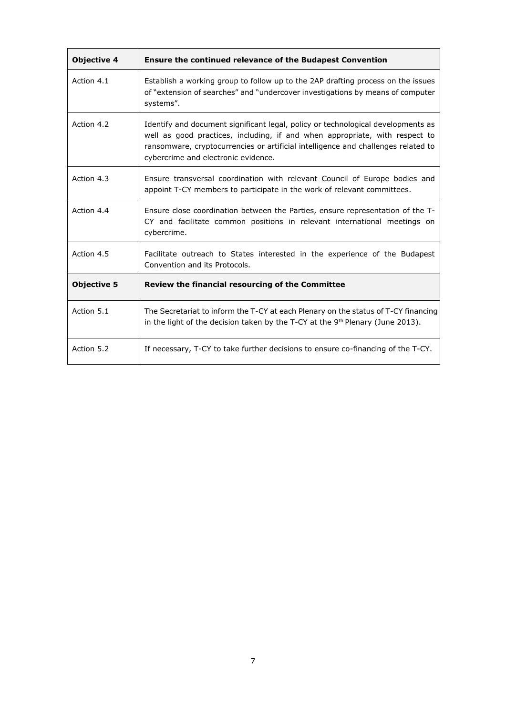| <b>Objective 4</b> | <b>Ensure the continued relevance of the Budapest Convention</b>                                                                                                                                                                                                                            |
|--------------------|---------------------------------------------------------------------------------------------------------------------------------------------------------------------------------------------------------------------------------------------------------------------------------------------|
| Action 4.1         | Establish a working group to follow up to the 2AP drafting process on the issues<br>of "extension of searches" and "undercover investigations by means of computer<br>systems".                                                                                                             |
| Action 4.2         | Identify and document significant legal, policy or technological developments as<br>well as good practices, including, if and when appropriate, with respect to<br>ransomware, cryptocurrencies or artificial intelligence and challenges related to<br>cybercrime and electronic evidence. |
| Action 4.3         | Ensure transversal coordination with relevant Council of Europe bodies and<br>appoint T-CY members to participate in the work of relevant committees.                                                                                                                                       |
| Action 4.4         | Ensure close coordination between the Parties, ensure representation of the T-<br>CY and facilitate common positions in relevant international meetings on<br>cybercrime.                                                                                                                   |
| Action 4.5         | Facilitate outreach to States interested in the experience of the Budapest<br>Convention and its Protocols.                                                                                                                                                                                 |
| <b>Objective 5</b> | Review the financial resourcing of the Committee                                                                                                                                                                                                                                            |
| Action 5.1         | The Secretariat to inform the T-CY at each Plenary on the status of T-CY financing<br>in the light of the decision taken by the T-CY at the 9 <sup>th</sup> Plenary (June 2013).                                                                                                            |
| Action 5.2         | If necessary, T-CY to take further decisions to ensure co-financing of the T-CY.                                                                                                                                                                                                            |